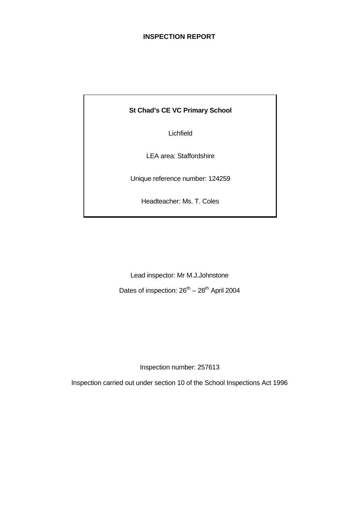# **INSPECTION REPORT**

# **St Chad's CE VC Primary School**

Lichfield

LEA area: Staffordshire

Unique reference number: 124259

Headteacher: Ms. T. Coles

Lead inspector: Mr M.J.Johnstone Dates of inspection:  $26^{th} - 28^{th}$  April 2004

Inspection number: 257613

Inspection carried out under section 10 of the School Inspections Act 1996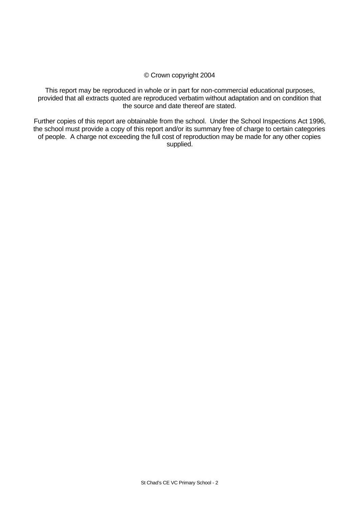# © Crown copyright 2004

This report may be reproduced in whole or in part for non-commercial educational purposes, provided that all extracts quoted are reproduced verbatim without adaptation and on condition that the source and date thereof are stated.

Further copies of this report are obtainable from the school. Under the School Inspections Act 1996, the school must provide a copy of this report and/or its summary free of charge to certain categories of people. A charge not exceeding the full cost of reproduction may be made for any other copies supplied.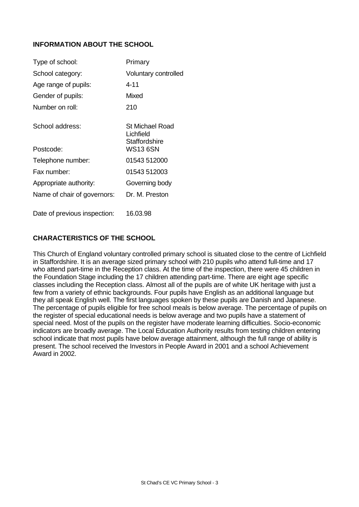# **INFORMATION ABOUT THE SCHOOL**

| Type of school:              | Primary                                       |
|------------------------------|-----------------------------------------------|
| School category:             | Voluntary controlled                          |
| Age range of pupils:         | 4-11                                          |
| Gender of pupils:            | Mixed                                         |
| Number on roll:              | 210                                           |
| School address:              | St Michael Road<br>Lichfield<br>Staffordshire |
| Postcode:                    | WS13 6SN                                      |
| Telephone number:            | 01543 512000                                  |
| Fax number:                  | 01543 512003                                  |
| Appropriate authority:       | Governing body                                |
| Name of chair of governors:  | Dr. M. Preston                                |
| Date of previous inspection: | 16.03.98                                      |

# **CHARACTERISTICS OF THE SCHOOL**

This Church of England voluntary controlled primary school is situated close to the centre of Lichfield in Staffordshire. It is an average sized primary school with 210 pupils who attend full-time and 17 who attend part-time in the Reception class. At the time of the inspection, there were 45 children in the Foundation Stage including the 17 children attending part-time. There are eight age specific classes including the Reception class. Almost all of the pupils are of white UK heritage with just a few from a variety of ethnic backgrounds. Four pupils have English as an additional language but they all speak English well. The first languages spoken by these pupils are Danish and Japanese. The percentage of pupils eligible for free school meals is below average. The percentage of pupils on the register of special educational needs is below average and two pupils have a statement of special need. Most of the pupils on the register have moderate learning difficulties. Socio-economic indicators are broadly average. The Local Education Authority results from testing children entering school indicate that most pupils have below average attainment, although the full range of ability is present. The school received the Investors in People Award in 2001 and a school Achievement Award in 2002.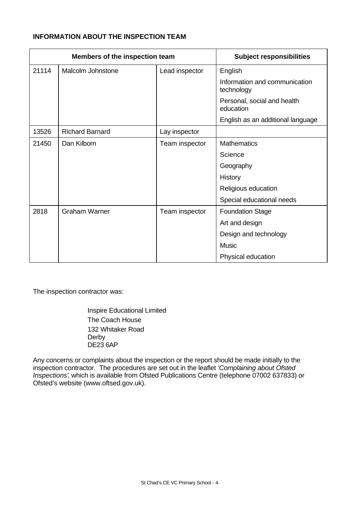# **INFORMATION ABOUT THE INSPECTION TEAM**

| Members of the inspection team |                                     |                | <b>Subject responsibilities</b>             |
|--------------------------------|-------------------------------------|----------------|---------------------------------------------|
| 21114                          | Malcolm Johnstone<br>Lead inspector |                | English                                     |
|                                |                                     |                | Information and communication<br>technology |
|                                |                                     |                | Personal, social and health<br>education    |
|                                |                                     |                | English as an additional language           |
| 13526                          | <b>Richard Barnard</b>              | Lay inspector  |                                             |
| 21450                          | Dan Kilborn                         | Team inspector | <b>Mathematics</b>                          |
|                                |                                     |                | Science                                     |
|                                |                                     |                | Geography                                   |
|                                |                                     |                | History                                     |
|                                |                                     |                | Religious education                         |
|                                |                                     |                | Special educational needs                   |
| 2818                           | <b>Graham Warner</b>                | Team inspector | <b>Foundation Stage</b>                     |
|                                |                                     |                | Art and design                              |
|                                |                                     |                | Design and technology                       |
|                                |                                     |                | <b>Music</b>                                |
|                                |                                     |                | Physical education                          |

The inspection contractor was:

Inspire Educational Limited The Coach House 132 Whitaker Road Derby DE23 6AP

Any concerns or complaints about the inspection or the report should be made initially to the inspection contractor. The procedures are set out in the leaflet *'Complaining about Ofsted Inspections'*, which is available from Ofsted Publications Centre (telephone 07002 637833) or Ofsted's website (www.oftsed.gov.uk).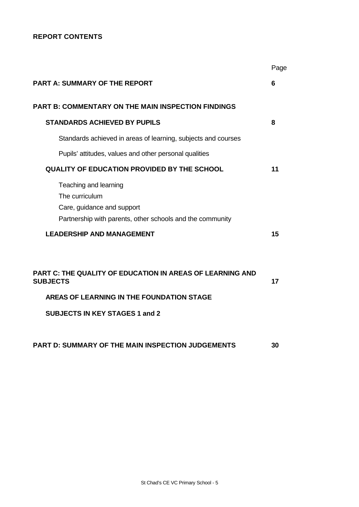# **REPORT CONTENTS**

|                                                                                                                                                                           | Page |
|---------------------------------------------------------------------------------------------------------------------------------------------------------------------------|------|
| <b>PART A: SUMMARY OF THE REPORT</b>                                                                                                                                      | 6    |
| <b>PART B: COMMENTARY ON THE MAIN INSPECTION FINDINGS</b>                                                                                                                 |      |
| <b>STANDARDS ACHIEVED BY PUPILS</b>                                                                                                                                       | 8    |
| Standards achieved in areas of learning, subjects and courses                                                                                                             |      |
| Pupils' attitudes, values and other personal qualities                                                                                                                    |      |
| <b>QUALITY OF EDUCATION PROVIDED BY THE SCHOOL</b>                                                                                                                        | 11   |
| Teaching and learning<br>The curriculum<br>Care, guidance and support<br>Partnership with parents, other schools and the community                                        |      |
| <b>LEADERSHIP AND MANAGEMENT</b>                                                                                                                                          | 15   |
| <b>PART C: THE QUALITY OF EDUCATION IN AREAS OF LEARNING AND</b><br><b>SUBJECTS</b><br>AREAS OF LEARNING IN THE FOUNDATION STAGE<br><b>SUBJECTS IN KEY STAGES 1 and 2</b> | 17   |
| <b>PART D: SUMMARY OF THE MAIN INSPECTION JUDGEMENTS</b>                                                                                                                  | 30   |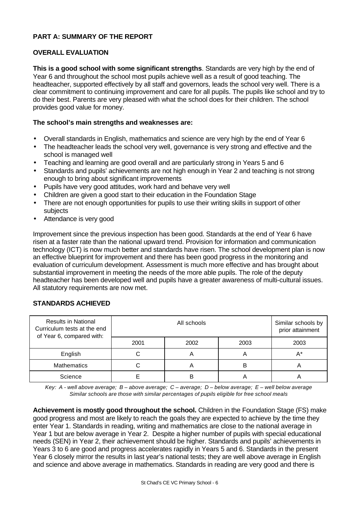# **PART A: SUMMARY OF THE REPORT**

# **OVERALL EVALUATION**

**This is a good school with some significant strengths**. Standards are very high by the end of Year 6 and throughout the school most pupils achieve well as a result of good teaching. The headteacher, supported effectively by all staff and governors, leads the school very well. There is a clear commitment to continuing improvement and care for all pupils. The pupils like school and try to do their best. Parents are very pleased with what the school does for their children. The school provides good value for money.

# **The school's main strengths and weaknesses are:**

- Overall standards in English, mathematics and science are very high by the end of Year 6
- The headteacher leads the school very well, governance is very strong and effective and the school is managed well
- Teaching and learning are good overall and are particularly strong in Years 5 and 6
- Standards and pupils' achievements are not high enough in Year 2 and teaching is not strong enough to bring about significant improvements
- Pupils have very good attitudes, work hard and behave very well
- Children are given a good start to their education in the Foundation Stage
- There are not enough opportunities for pupils to use their writing skills in support of other subjects
- Attendance is very good

Improvement since the previous inspection has been good. Standards at the end of Year 6 have risen at a faster rate than the national upward trend. Provision for information and communication technology (ICT) is now much better and standards have risen. The school development plan is now an effective blueprint for improvement and there has been good progress in the monitoring and evaluation of curriculum development. Assessment is much more effective and has brought about substantial improvement in meeting the needs of the more able pupils. The role of the deputy headteacher has been developed well and pupils have a greater awareness of multi-cultural issues. All statutory requirements are now met.

# **STANDARDS ACHIEVED**

| <b>Results in National</b><br>Curriculum tests at the end<br>of Year 6, compared with: |      | Similar schools by<br>prior attainment |      |      |
|----------------------------------------------------------------------------------------|------|----------------------------------------|------|------|
|                                                                                        | 2001 | 2002                                   | 2003 | 2003 |
| English                                                                                |      | n                                      |      | A*   |
| <b>Mathematics</b>                                                                     |      | Α                                      | в    | m    |
| Science                                                                                |      | В                                      |      |      |

*Key: A - well above average; B – above average; C – average; D – below average; E – well below average Similar schools are those with similar percentages of pupils eligible for free school meals*

**Achievement is mostly good throughout the school.** Children in the Foundation Stage (FS) make good progress and most are likely to reach the goals they are expected to achieve by the time they enter Year 1. Standards in reading, writing and mathematics are close to the national average in Year 1 but are below average in Year 2. Despite a higher number of pupils with special educational needs (SEN) in Year 2, their achievement should be higher. Standards and pupils' achievements in Years 3 to 6 are good and progress accelerates rapidly in Years 5 and 6. Standards in the present Year 6 closely mirror the results in last year's national tests; they are well above average in English and science and above average in mathematics. Standards in reading are very good and there is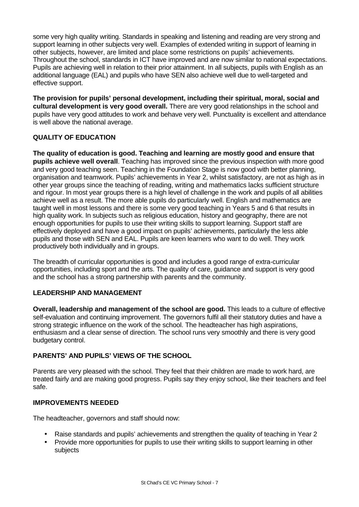some very high quality writing. Standards in speaking and listening and reading are very strong and support learning in other subjects very well. Examples of extended writing in support of learning in other subjects, however, are limited and place some restrictions on pupils' achievements. Throughout the school, standards in ICT have improved and are now similar to national expectations. Pupils are achieving well in relation to their prior attainment. In all subjects, pupils with English as an additional language (EAL) and pupils who have SEN also achieve well due to well-targeted and effective support.

**The provision for pupils' personal development, including their spiritual, moral, social and cultural development is very good overall.** There are very good relationships in the school and pupils have very good attitudes to work and behave very well. Punctuality is excellent and attendance is well above the national average.

# **QUALITY OF EDUCATION**

**The quality of education is good. Teaching and learning are mostly good and ensure that pupils achieve well overall**. Teaching has improved since the previous inspection with more good and very good teaching seen. Teaching in the Foundation Stage is now good with better planning, organisation and teamwork. Pupils' achievements in Year 2, whilst satisfactory, are not as high as in other year groups since the teaching of reading, writing and mathematics lacks sufficient structure and rigour. In most year groups there is a high level of challenge in the work and pupils of all abilities achieve well as a result. The more able pupils do particularly well. English and mathematics are taught well in most lessons and there is some very good teaching in Years 5 and 6 that results in high quality work. In subjects such as religious education, history and geography, there are not enough opportunities for pupils to use their writing skills to support learning. Support staff are effectively deployed and have a good impact on pupils' achievements, particularly the less able pupils and those with SEN and EAL. Pupils are keen learners who want to do well. They work productively both individually and in groups.

The breadth of curricular opportunities is good and includes a good range of extra-curricular opportunities, including sport and the arts. The quality of care, guidance and support is very good and the school has a strong partnership with parents and the community.

# **LEADERSHIP AND MANAGEMENT**

**Overall, leadership and management of the school are good.** This leads to a culture of effective self-evaluation and continuing improvement. The governors fulfil all their statutory duties and have a strong strategic influence on the work of the school. The headteacher has high aspirations, enthusiasm and a clear sense of direction. The school runs very smoothly and there is very good budgetary control.

# **PARENTS' AND PUPILS' VIEWS OF THE SCHOOL**

Parents are very pleased with the school. They feel that their children are made to work hard, are treated fairly and are making good progress. Pupils say they enjoy school, like their teachers and feel safe.

# **IMPROVEMENTS NEEDED**

The headteacher, governors and staff should now:

- Raise standards and pupils' achievements and strengthen the quality of teaching in Year 2
- Provide more opportunities for pupils to use their writing skills to support learning in other subjects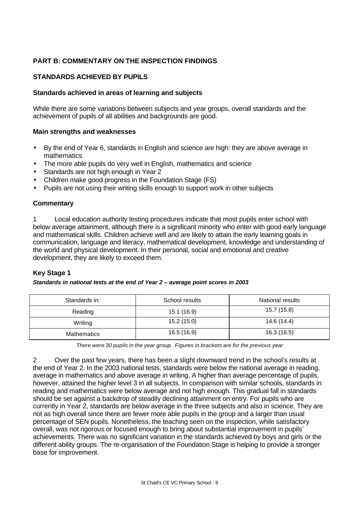# **PART B: COMMENTARY ON THE INSPECTION FINDINGS**

# **STANDARDS ACHIEVED BY PUPILS**

#### **Standards achieved in areas of learning and subjects**

While there are some variations between subjects and year groups, overall standards and the achievement of pupils of all abilities and backgrounds are good.

#### **Main strengths and weaknesses**

- By the end of Year 6, standards in English and science are high: they are above average in mathematics
- The more able pupils do very well in English, mathematics and science
- Standards are not high enough in Year 2
- Children make good progress in the Foundation Stage (FS)
- Pupils are not using their writing skills enough to support work in other subjects

# **Commentary**

1 Local education authority testing procedures indicate that most pupils enter school with below average attainment, although there is a significant minority who enter with good early language and mathematical skills. Children achieve well and are likely to attain the early learning goals in communication, language and literacy, mathematical development, knowledge and understanding of the world and physical development. In their personal, social and emotional and creative development, they are likely to exceed them.

# **Key Stage 1**

#### *Standards in national tests at the end of Year 2 – average point scores in 2003*

| Standards in:      | School results | National results |
|--------------------|----------------|------------------|
| Reading            | 15.1 (16.9)    | 15.7 (15.8)      |
| Writing            | 15.2(15.0)     | 14.6 (14.4)      |
| <b>Mathematics</b> | 16.5 (16.9)    | 16.3 (16.5)      |

*There were 30 pupils in the year group. Figures in brackets are for the previous year*

2 Over the past few years, there has been a slight downward trend in the school's results at the end of Year 2. In the 2003 national tests, standards were below the national average in reading, average in mathematics and above average in writing. A higher than average percentage of pupils, however, attained the higher level 3 in all subjects. In comparison with similar schools, standards in reading and mathematics were below average and not high enough. This gradual fall in standards should be set against a backdrop of steadily declining attainment on entry. For pupils who are currently in Year 2, standards are below average in the three subjects and also in science. They are not as high overall since there are fewer more able pupils in the group and a larger than usual percentage of SEN pupils. Nonetheless, the teaching seen on the inspection, while satisfactory overall, was not rigorous or focused enough to bring about substantial improvement in pupils' achievements. There was no significant variation in the standards achieved by boys and girls or the different ability groups. The re-organisation of the Foundation Stage is helping to provide a stronger base for improvement.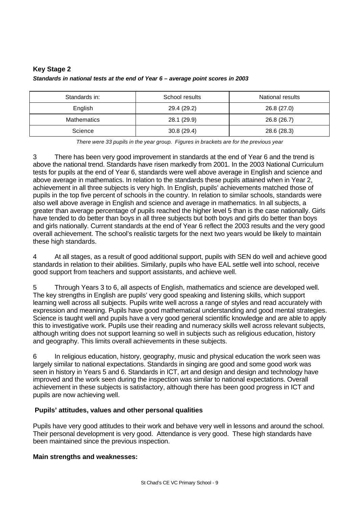# **Key Stage 2** *Standards in national tests at the end of Year 6 – average point scores in 2003*

| Standards in: | School results | National results |
|---------------|----------------|------------------|
| English       | 29.4 (29.2)    | 26.8 (27.0)      |
| Mathematics   | 28.1 (29.9)    | 26.8 (26.7)      |
| Science       | 30.8(29.4)     | 28.6 (28.3)      |

*There were 33 pupils in the year group. Figures in brackets are for the previous year*

3 There has been very good improvement in standards at the end of Year 6 and the trend is above the national trend. Standards have risen markedly from 2001. In the 2003 National Curriculum tests for pupils at the end of Year 6, standards were well above average in English and science and above average in mathematics. In relation to the standards these pupils attained when in Year 2, achievement in all three subjects is very high. In English, pupils' achievements matched those of pupils in the top five percent of schools in the country. In relation to similar schools, standards were also well above average in English and science and average in mathematics. In all subjects, a greater than average percentage of pupils reached the higher level 5 than is the case nationally. Girls have tended to do better than boys in all three subjects but both boys and girls do better than boys and girls nationally. Current standards at the end of Year 6 reflect the 2003 results and the very good overall achievement. The school's realistic targets for the next two years would be likely to maintain these high standards.

4 At all stages, as a result of good additional support, pupils with SEN do well and achieve good standards in relation to their abilities. Similarly, pupils who have EAL settle well into school, receive good support from teachers and support assistants, and achieve well.

5 Through Years 3 to 6, all aspects of English, mathematics and science are developed well. The key strengths in English are pupils' very good speaking and listening skills, which support learning well across all subjects. Pupils write well across a range of styles and read accurately with expression and meaning. Pupils have good mathematical understanding and good mental strategies. Science is taught well and pupils have a very good general scientific knowledge and are able to apply this to investigative work. Pupils use their reading and numeracy skills well across relevant subjects, although writing does not support learning so well in subjects such as religious education, history and geography. This limits overall achievements in these subjects.

6 In religious education, history, geography, music and physical education the work seen was largely similar to national expectations. Standards in singing are good and some good work was seen in history in Years 5 and 6. Standards in ICT, art and design and design and technology have improved and the work seen during the inspection was similar to national expectations. Overall achievement in these subjects is satisfactory, although there has been good progress in ICT and pupils are now achieving well.

# **Pupils' attitudes, values and other personal qualities**

Pupils have very good attitudes to their work and behave very well in lessons and around the school. Their personal development is very good. Attendance is very good. These high standards have been maintained since the previous inspection.

# **Main strengths and weaknesses:**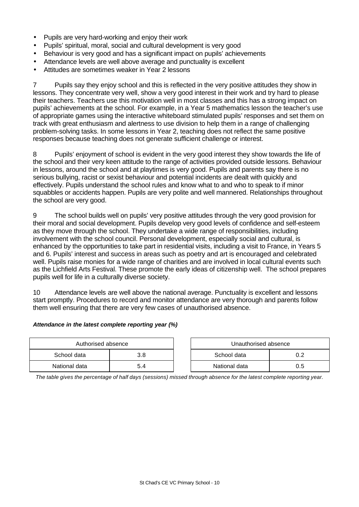- Pupils are very hard-working and enjoy their work
- Pupils' spiritual, moral, social and cultural development is very good
- Behaviour is very good and has a significant impact on pupils' achievements
- Attendance levels are well above average and punctuality is excellent
- Attitudes are sometimes weaker in Year 2 lessons

7 Pupils say they enjoy school and this is reflected in the very positive attitudes they show in lessons. They concentrate very well, show a very good interest in their work and try hard to please their teachers. Teachers use this motivation well in most classes and this has a strong impact on pupils' achievements at the school. For example, in a Year 5 mathematics lesson the teacher's use of appropriate games using the interactive whiteboard stimulated pupils' responses and set them on track with great enthusiasm and alertness to use division to help them in a range of challenging problem-solving tasks. In some lessons in Year 2, teaching does not reflect the same positive responses because teaching does not generate sufficient challenge or interest.

8 Pupils' enjoyment of school is evident in the very good interest they show towards the life of the school and their very keen attitude to the range of activities provided outside lessons. Behaviour in lessons, around the school and at playtimes is very good. Pupils and parents say there is no serious bullying, racist or sexist behaviour and potential incidents are dealt with quickly and effectively. Pupils understand the school rules and know what to and who to speak to if minor squabbles or accidents happen. Pupils are very polite and well mannered. Relationships throughout the school are very good.

9 The school builds well on pupils' very positive attitudes through the very good provision for their moral and social development. Pupils develop very good levels of confidence and self-esteem as they move through the school. They undertake a wide range of responsibilities, including involvement with the school council. Personal development, especially social and cultural, is enhanced by the opportunities to take part in residential visits, including a visit to France, in Years 5 and 6. Pupils' interest and success in areas such as poetry and art is encouraged and celebrated well. Pupils raise monies for a wide range of charities and are involved in local cultural events such as the Lichfield Arts Festival. These promote the early ideas of citizenship well. The school prepares pupils well for life in a culturally diverse society.

10 Attendance levels are well above the national average. Punctuality is excellent and lessons start promptly. Procedures to record and monitor attendance are very thorough and parents follow them well ensuring that there are very few cases of unauthorised absence.

#### *Attendance in the latest complete reporting year (%)*

| Authorised absence |     |  | Unauthorised absence |     |
|--------------------|-----|--|----------------------|-----|
| School data        |     |  | School data          |     |
| National data      | 5.4 |  | National data        | 0.5 |

*The table gives the percentage of half days (sessions) missed through absence for the latest complete reporting year.*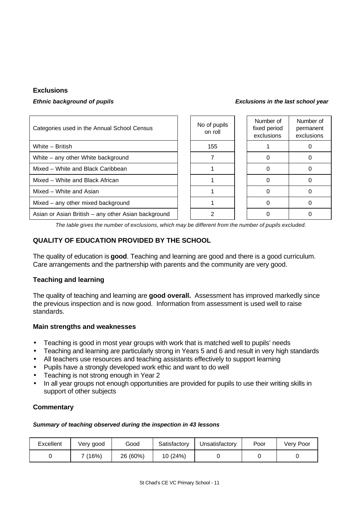# **Exclusions**

| Categories used in the Annual School Census         | No of pupils<br>on roll | Number of<br>fixed period<br>exclusions | Number of<br>permanent<br>exclusions |
|-----------------------------------------------------|-------------------------|-----------------------------------------|--------------------------------------|
| White - British                                     | 155                     |                                         |                                      |
| White – any other White background                  |                         |                                         |                                      |
| Mixed - White and Black Caribbean                   |                         |                                         |                                      |
| Mixed - White and Black African                     |                         |                                         |                                      |
| Mixed – White and Asian                             |                         |                                         |                                      |
| Mixed – any other mixed background                  |                         |                                         |                                      |
| Asian or Asian British - any other Asian background |                         |                                         |                                      |

*The table gives the number of exclusions, which may be different from the number of pupils excluded.*

# **QUALITY OF EDUCATION PROVIDED BY THE SCHOOL**

The quality of education is **good**. Teaching and learning are good and there is a good curriculum. Care arrangements and the partnership with parents and the community are very good.

# **Teaching and learning**

The quality of teaching and learning are **good overall.** Assessment has improved markedly since the previous inspection and is now good. Information from assessment is used well to raise standards.

# **Main strengths and weaknesses**

- Teaching is good in most year groups with work that is matched well to pupils' needs
- Teaching and learning are particularly strong in Years 5 and 6 and result in very high standards
- All teachers use resources and teaching assistants effectively to support learning
- Pupils have a strongly developed work ethic and want to do well
- Teaching is not strong enough in Year 2
- In all year groups not enough opportunities are provided for pupils to use their writing skills in support of other subjects

# **Commentary**

#### *Summary of teaching observed during the inspection in 43 lessons*

| Excellent | Very good | Good     | Satisfactory | Unsatisfactory | Poor | Very Poor |
|-----------|-----------|----------|--------------|----------------|------|-----------|
|           | (16%)     | 26 (60%) | 10 (24%)     |                |      |           |

#### *Ethnic background of pupils Exclusions in the last school year*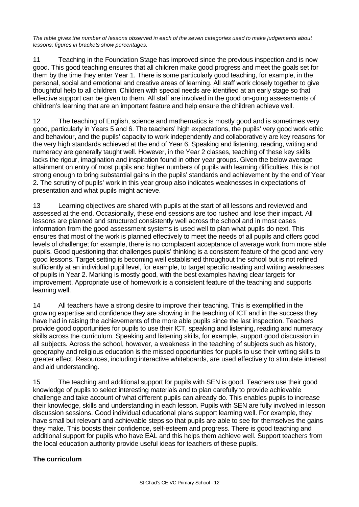*The table gives the number of lessons observed in each of the seven categories used to make judgements about lessons; figures in brackets show percentages.*

11 Teaching in the Foundation Stage has improved since the previous inspection and is now good. This good teaching ensures that all children make good progress and meet the goals set for them by the time they enter Year 1. There is some particularly good teaching, for example, in the personal, social and emotional and creative areas of learning. All staff work closely together to give thoughtful help to all children. Children with special needs are identified at an early stage so that effective support can be given to them. All staff are involved in the good on-going assessments of children's learning that are an important feature and help ensure the children achieve well.

12 The teaching of English, science and mathematics is mostly good and is sometimes very good, particularly in Years 5 and 6. The teachers' high expectations, the pupils' very good work ethic and behaviour, and the pupils' capacity to work independently and collaboratively are key reasons for the very high standards achieved at the end of Year 6. Speaking and listening, reading, writing and numeracy are generally taught well. However, in the Year 2 classes, teaching of these key skills lacks the rigour, imagination and inspiration found in other year groups. Given the below average attainment on entry of most pupils and higher numbers of pupils with learning difficulties, this is not strong enough to bring substantial gains in the pupils' standards and achievement by the end of Year 2. The scrutiny of pupils' work in this year group also indicates weaknesses in expectations of presentation and what pupils might achieve.

13 Learning objectives are shared with pupils at the start of all lessons and reviewed and assessed at the end. Occasionally, these end sessions are too rushed and lose their impact. All lessons are planned and structured consistently well across the school and in most cases information from the good assessment systems is used well to plan what pupils do next. This ensures that most of the work is planned effectively to meet the needs of all pupils and offers good levels of challenge; for example, there is no complacent acceptance of average work from more able pupils. Good questioning that challenges pupils' thinking is a consistent feature of the good and very good lessons. Target setting is becoming well established throughout the school but is not refined sufficiently at an individual pupil level, for example, to target specific reading and writing weaknesses of pupils in Year 2. Marking is mostly good, with the best examples having clear targets for improvement. Appropriate use of homework is a consistent feature of the teaching and supports learning well.

14 All teachers have a strong desire to improve their teaching. This is exemplified in the growing expertise and confidence they are showing in the teaching of ICT and in the success they have had in raising the achievements of the more able pupils since the last inspection. Teachers provide good opportunities for pupils to use their ICT, speaking and listening, reading and numeracy skills across the curriculum. Speaking and listening skills, for example, support good discussion in all subjects. Across the school, however, a weakness in the teaching of subjects such as history, geography and religious education is the missed opportunities for pupils to use their writing skills to greater effect. Resources, including interactive whiteboards, are used effectively to stimulate interest and aid understanding.

15 The teaching and additional support for pupils with SEN is good. Teachers use their good knowledge of pupils to select interesting materials and to plan carefully to provide achievable challenge and take account of what different pupils can already do. This enables pupils to increase their knowledge, skills and understanding in each lesson. Pupils with SEN are fully involved in lesson discussion sessions. Good individual educational plans support learning well. For example, they have small but relevant and achievable steps so that pupils are able to see for themselves the gains they make. This boosts their confidence, self-esteem and progress. There is good teaching and additional support for pupils who have EAL and this helps them achieve well. Support teachers from the local education authority provide useful ideas for teachers of these pupils.

# **The curriculum**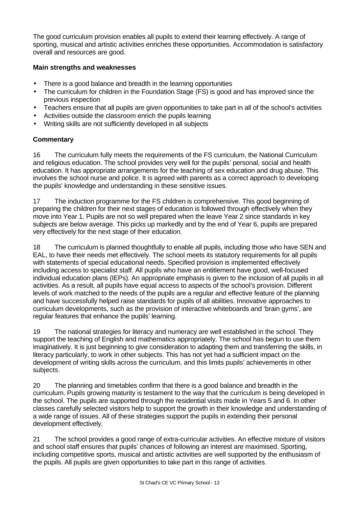The good curriculum provision enables all pupils to extend their learning effectively. A range of sporting, musical and artistic activities enriches these opportunities. Accommodation is satisfactory overall and resources are good.

# **Main strengths and weaknesses**

- There is a good balance and breadth in the learning opportunities
- The curriculum for children in the Foundation Stage (FS) is good and has improved since the previous inspection
- Teachers ensure that all pupils are given opportunities to take part in all of the school's activities
- Activities outside the classroom enrich the pupils learning
- Writing skills are not sufficiently developed in all subjects

# **Commentary**

16 The curriculum fully meets the requirements of the FS curriculum, the National Curriculum and religious education. The school provides very well for the pupils' personal, social and health education. It has appropriate arrangements for the teaching of sex education and drug abuse. This involves the school nurse and police. It is agreed with parents as a correct approach to developing the pupils' knowledge and understanding in these sensitive issues.

17 The induction programme for the FS children is comprehensive. This good beginning of preparing the children for their next stages of education is followed through effectively when they move into Year 1. Pupils are not so well prepared when the leave Year 2 since standards in key subjects are below average. This picks up markedly and by the end of Year 6, pupils are prepared very effectively for the next stage of their education.

18 The curriculum is planned thoughtfully to enable all pupils, including those who have SEN and EAL, to have their needs met effectively. The school meets its statutory requirements for all pupils with statements of special educational needs. Specified provision is implemented effectively including access to specialist staff. All pupils who have an entitlement have good, well-focused individual education plans (IEPs). An appropriate emphasis is given to the inclusion of all pupils in all activities. As a result, all pupils have equal access to aspects of the school's provision. Different levels of work matched to the needs of the pupils are a regular and effective feature of the planning and have successfully helped raise standards for pupils of all abilities. Innovative approaches to curriculum developments, such as the provision of interactive whiteboards and 'brain gyms', are regular features that enhance the pupils' learning.

19 The national strategies for literacy and numeracy are well established in the school. They support the teaching of English and mathematics appropriately. The school has begun to use them imaginatively. It is just beginning to give consideration to adapting them and transferring the skills, in literacy particularly, to work in other subjects. This has not yet had a sufficient impact on the development of writing skills across the curriculum, and this limits pupils' achievements in other subjects.

20 The planning and timetables confirm that there is a good balance and breadth in the curriculum. Pupils growing maturity is testament to the way that the curriculum is being developed in the school. The pupils are supported through the residential visits made in Years 5 and 6. In other classes carefully selected visitors help to support the growth in their knowledge and understanding of a wide range of issues. All of these strategies support the pupils in extending their personal development effectively.

21 The school provides a good range of extra-curricular activities. An effective mixture of visitors and school staff ensures that pupils' chances of following an interest are maximised. Sporting, including competitive sports, musical and artistic activities are well supported by the enthusiasm of the pupils. All pupils are given opportunities to take part in this range of activities.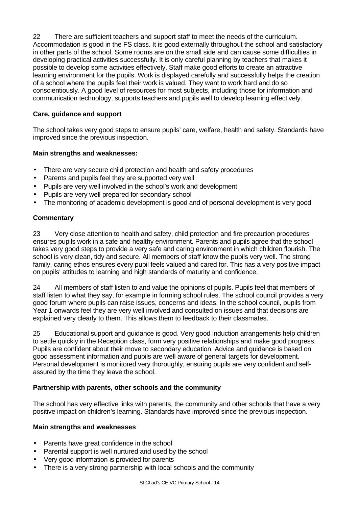22 There are sufficient teachers and support staff to meet the needs of the curriculum. Accommodation is good in the FS class. It is good externally throughout the school and satisfactory in other parts of the school. Some rooms are on the small side and can cause some difficulties in developing practical activities successfully. It is only careful planning by teachers that makes it possible to develop some activities effectively. Staff make good efforts to create an attractive learning environment for the pupils. Work is displayed carefully and successfully helps the creation of a school where the pupils feel their work is valued. They want to work hard and do so conscientiously. A good level of resources for most subjects, including those for information and communication technology, supports teachers and pupils well to develop learning effectively.

# **Care, guidance and support**

The school takes very good steps to ensure pupils' care, welfare, health and safety. Standards have improved since the previous inspection.

# **Main strengths and weaknesses:**

- There are very secure child protection and health and safety procedures
- Parents and pupils feel they are supported very well
- Pupils are very well involved in the school's work and development
- Pupils are very well prepared for secondary school
- The monitoring of academic development is good and of personal development is very good

# **Commentary**

23 Very close attention to health and safety, child protection and fire precaution procedures ensures pupils work in a safe and healthy environment. Parents and pupils agree that the school takes very good steps to provide a very safe and caring environment in which children flourish. The school is very clean, tidy and secure. All members of staff know the pupils very well. The strong family, caring ethos ensures every pupil feels valued and cared for. This has a very positive impact on pupils' attitudes to learning and high standards of maturity and confidence.

24 All members of staff listen to and value the opinions of pupils. Pupils feel that members of staff listen to what they say, for example in forming school rules. The school council provides a very good forum where pupils can raise issues, concerns and ideas. In the school council, pupils from Year 1 onwards feel they are very well involved and consulted on issues and that decisions are explained very clearly to them. This allows them to feedback to their classmates.

25 Educational support and guidance is good. Very good induction arrangements help children to settle quickly in the Reception class, form very positive relationships and make good progress. Pupils are confident about their move to secondary education. Advice and guidance is based on good assessment information and pupils are well aware of general targets for development. Personal development is monitored very thoroughly, ensuring pupils are very confident and selfassured by the time they leave the school.

# **Partnership with parents, other schools and the community**

The school has very effective links with parents, the community and other schools that have a very positive impact on children's learning. Standards have improved since the previous inspection.

# **Main strengths and weaknesses**

- Parents have great confidence in the school
- Parental support is well nurtured and used by the school
- Very good information is provided for parents
- There is a very strong partnership with local schools and the community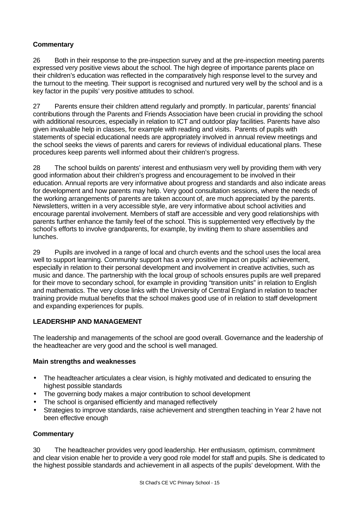# **Commentary**

26 Both in their response to the pre-inspection survey and at the pre-inspection meeting parents expressed very positive views about the school. The high degree of importance parents place on their children's education was reflected in the comparatively high response level to the survey and the turnout to the meeting. Their support is recognised and nurtured very well by the school and is a key factor in the pupils' very positive attitudes to school.

27 Parents ensure their children attend regularly and promptly. In particular, parents' financial contributions through the Parents and Friends Association have been crucial in providing the school with additional resources, especially in relation to ICT and outdoor play facilities. Parents have also given invaluable help in classes, for example with reading and visits. Parents of pupils with statements of special educational needs are appropriately involved in annual review meetings and the school seeks the views of parents and carers for reviews of individual educational plans. These procedures keep parents well informed about their children's progress.

28 The school builds on parents' interest and enthusiasm very well by providing them with very good information about their children's progress and encouragement to be involved in their education. Annual reports are very informative about progress and standards and also indicate areas for development and how parents may help. Very good consultation sessions, where the needs of the working arrangements of parents are taken account of, are much appreciated by the parents. Newsletters, written in a very accessible style, are very informative about school activities and encourage parental involvement. Members of staff are accessible and very good relationships with parents further enhance the family feel of the school. This is supplemented very effectively by the school's efforts to involve grandparents, for example, by inviting them to share assemblies and lunches.

29 Pupils are involved in a range of local and church events and the school uses the local area well to support learning. Community support has a very positive impact on pupils' achievement, especially in relation to their personal development and involvement in creative activities, such as music and dance. The partnership with the local group of schools ensures pupils are well prepared for their move to secondary school, for example in providing "transition units" in relation to English and mathematics. The very close links with the University of Central England in relation to teacher training provide mutual benefits that the school makes good use of in relation to staff development and expanding experiences for pupils.

# **LEADERSHIP AND MANAGEMENT**

The leadership and managements of the school are good overall. Governance and the leadership of the headteacher are very good and the school is well managed.

# **Main strengths and weaknesses**

- The headteacher articulates a clear vision, is highly motivated and dedicated to ensuring the highest possible standards
- The governing body makes a major contribution to school development
- The school is organised efficiently and managed reflectively
- Strategies to improve standards, raise achievement and strengthen teaching in Year 2 have not been effective enough

# **Commentary**

30 The headteacher provides very good leadership. Her enthusiasm, optimism, commitment and clear vision enable her to provide a very good role model for staff and pupils. She is dedicated to the highest possible standards and achievement in all aspects of the pupils' development. With the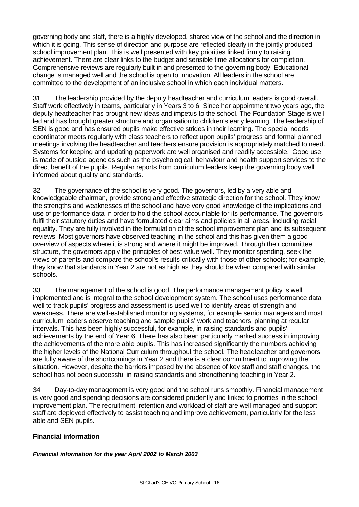governing body and staff, there is a highly developed, shared view of the school and the direction in which it is going. This sense of direction and purpose are reflected clearly in the jointly produced school improvement plan. This is well presented with key priorities linked firmly to raising achievement. There are clear links to the budget and sensible time allocations for completion. Comprehensive reviews are regularly built in and presented to the governing body. Educational change is managed well and the school is open to innovation. All leaders in the school are committed to the development of an inclusive school in which each individual matters.

31 The leadership provided by the deputy headteacher and curriculum leaders is good overall. Staff work effectively in teams, particularly in Years 3 to 6. Since her appointment two years ago, the deputy headteacher has brought new ideas and impetus to the school. The Foundation Stage is well led and has brought greater structure and organisation to children's early learning. The leadership of SEN is good and has ensured pupils make effective strides in their learning. The special needs coordinator meets regularly with class teachers to reflect upon pupils' progress and formal planned meetings involving the headteacher and teachers ensure provision is appropriately matched to need. Systems for keeping and updating paperwork are well organised and readily accessible. Good use is made of outside agencies such as the psychological, behaviour and health support services to the direct benefit of the pupils. Regular reports from curriculum leaders keep the governing body well informed about quality and standards.

32 The governance of the school is very good. The governors, led by a very able and knowledgeable chairman, provide strong and effective strategic direction for the school. They know the strengths and weaknesses of the school and have very good knowledge of the implications and use of performance data in order to hold the school accountable for its performance. The governors fulfil their statutory duties and have formulated clear aims and policies in all areas, including racial equality. They are fully involved in the formulation of the school improvement plan and its subsequent reviews. Most governors have observed teaching in the school and this has given them a good overview of aspects where it is strong and where it might be improved. Through their committee structure, the governors apply the principles of best value well. They monitor spending, seek the views of parents and compare the school's results critically with those of other schools; for example, they know that standards in Year 2 are not as high as they should be when compared with similar schools.

33 The management of the school is good. The performance management policy is well implemented and is integral to the school development system. The school uses performance data well to track pupils' progress and assessment is used well to identify areas of strength and weakness. There are well-established monitoring systems, for example senior managers and most curriculum leaders observe teaching and sample pupils' work and teachers' planning at regular intervals. This has been highly successful, for example, in raising standards and pupils' achievements by the end of Year 6. There has also been particularly marked success in improving the achievements of the more able pupils. This has increased significantly the numbers achieving the higher levels of the National Curriculum throughout the school. The headteacher and governors are fully aware of the shortcomings in Year 2 and there is a clear commitment to improving the situation. However, despite the barriers imposed by the absence of key staff and staff changes, the school has not been successful in raising standards and strengthening teaching in Year 2.

34 Day-to-day management is very good and the school runs smoothly. Financial management is very good and spending decisions are considered prudently and linked to priorities in the school improvement plan. The recruitment, retention and workload of staff are well managed and support staff are deployed effectively to assist teaching and improve achievement, particularly for the less able and SEN pupils.

# **Financial information**

*Financial information for the year April 2002 to March 2003*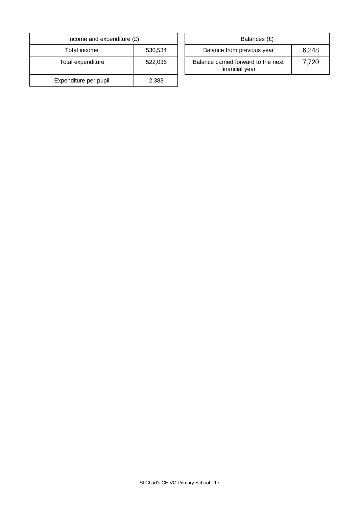| Income and expenditure $(E)$ | Balances (£) |                                                       |
|------------------------------|--------------|-------------------------------------------------------|
| Total income                 | 530,534      | Balance from previous year                            |
| Total expenditure            | 522,036      | Balance carried forward to the next<br>financial year |
| Expenditure per pupil        | 2,383        |                                                       |

| Income and expenditure $(E)$ |         |  | Balances (£)                                          |       |
|------------------------------|---------|--|-------------------------------------------------------|-------|
| Total income                 | 530,534 |  | Balance from previous year                            | 6,248 |
| <sub>otal expenditure</sub>  | 522,036 |  | Balance carried forward to the next<br>financial year | 7,720 |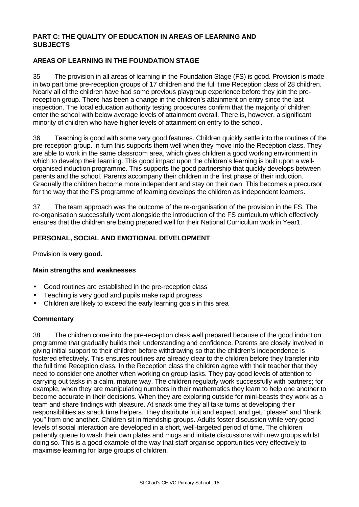# **PART C: THE QUALITY OF EDUCATION IN AREAS OF LEARNING AND SUBJECTS**

# **AREAS OF LEARNING IN THE FOUNDATION STAGE**

35 The provision in all areas of learning in the Foundation Stage (FS) is good. Provision is made in two part time pre-reception groups of 17 children and the full time Reception class of 28 children. Nearly all of the children have had some previous playgroup experience before they join the prereception group. There has been a change in the children's attainment on entry since the last inspection. The local education authority testing procedures confirm that the majority of children enter the school with below average levels of attainment overall. There is, however, a significant minority of children who have higher levels of attainment on entry to the school.

36 Teaching is good with some very good features. Children quickly settle into the routines of the pre-reception group. In turn this supports them well when they move into the Reception class. They are able to work in the same classroom area, which gives children a good working environment in which to develop their learning. This good impact upon the children's learning is built upon a wellorganised induction programme. This supports the good partnership that quickly develops between parents and the school. Parents accompany their children in the first phase of their induction. Gradually the children become more independent and stay on their own. This becomes a precursor for the way that the FS programme of learning develops the children as independent learners.

37 The team approach was the outcome of the re-organisation of the provision in the FS. The re-organisation successfully went alongside the introduction of the FS curriculum which effectively ensures that the children are being prepared well for their National Curriculum work in Year1.

# **PERSONAL, SOCIAL AND EMOTIONAL DEVELOPMENT**

Provision is **very good.**

#### **Main strengths and weaknesses**

- Good routines are established in the pre-reception class
- Teaching is very good and pupils make rapid progress
- Children are likely to exceed the early learning goals in this area

#### **Commentary**

38 The children come into the pre-reception class well prepared because of the good induction programme that gradually builds their understanding and confidence. Parents are closely involved in giving initial support to their children before withdrawing so that the children's independence is fostered effectively. This ensures routines are already clear to the children before they transfer into the full time Reception class. In the Reception class the children agree with their teacher that they need to consider one another when working on group tasks. They pay good levels of attention to carrying out tasks in a calm, mature way. The children regularly work successfully with partners; for example, when they are manipulating numbers in their mathematics they learn to help one another to become accurate in their decisions. When they are exploring outside for mini-beasts they work as a team and share findings with pleasure. At snack time they all take turns at developing their responsibilities as snack time helpers. They distribute fruit and expect, and get, "please" and "thank you" from one another. Children sit in friendship groups. Adults foster discussion while very good levels of social interaction are developed in a short, well-targeted period of time. The children patiently queue to wash their own plates and mugs and initiate discussions with new groups whilst doing so. This is a good example of the way that staff organise opportunities very effectively to maximise learning for large groups of children.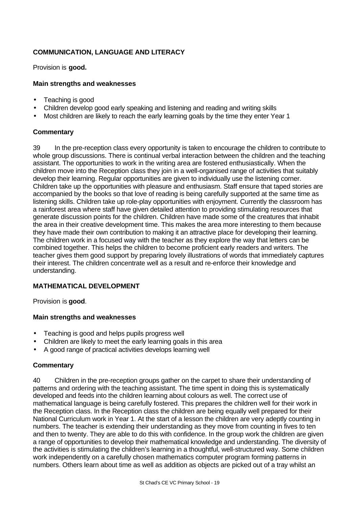# **COMMUNICATION, LANGUAGE AND LITERACY**

Provision is **good.**

# **Main strengths and weaknesses**

- Teaching is good
- Children develop good early speaking and listening and reading and writing skills
- Most children are likely to reach the early learning goals by the time they enter Year 1

# **Commentary**

39 In the pre-reception class every opportunity is taken to encourage the children to contribute to whole group discussions. There is continual verbal interaction between the children and the teaching assistant. The opportunities to work in the writing area are fostered enthusiastically. When the children move into the Reception class they join in a well-organised range of activities that suitably develop their learning. Regular opportunities are given to individually use the listening corner. Children take up the opportunities with pleasure and enthusiasm. Staff ensure that taped stories are accompanied by the books so that love of reading is being carefully supported at the same time as listening skills. Children take up role-play opportunities with enjoyment. Currently the classroom has a rainforest area where staff have given detailed attention to providing stimulating resources that generate discussion points for the children. Children have made some of the creatures that inhabit the area in their creative development time. This makes the area more interesting to them because they have made their own contribution to making it an attractive place for developing their learning. The children work in a focused way with the teacher as they explore the way that letters can be combined together. This helps the children to become proficient early readers and writers. The teacher gives them good support by preparing lovely illustrations of words that immediately captures their interest. The children concentrate well as a result and re-enforce their knowledge and understanding.

# **MATHEMATICAL DEVELOPMENT**

Provision is **good**.

# **Main strengths and weaknesses**

- Teaching is good and helps pupils progress well
- Children are likely to meet the early learning goals in this area
- A good range of practical activities develops learning well

# **Commentary**

40 Children in the pre-reception groups gather on the carpet to share their understanding of patterns and ordering with the teaching assistant. The time spent in doing this is systematically developed and feeds into the children learning about colours as well. The correct use of mathematical language is being carefully fostered. This prepares the children well for their work in the Reception class. In the Reception class the children are being equally well prepared for their National Curriculum work in Year 1. At the start of a lesson the children are very adeptly counting in numbers. The teacher is extending their understanding as they move from counting in fives to ten and then to twenty. They are able to do this with confidence. In the group work the children are given a range of opportunities to develop their mathematical knowledge and understanding. The diversity of the activities is stimulating the children's learning in a thoughtful, well-structured way. Some children work independently on a carefully chosen mathematics computer program forming patterns in numbers. Others learn about time as well as addition as objects are picked out of a tray whilst an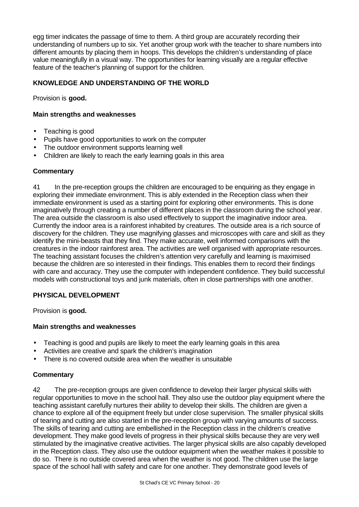egg timer indicates the passage of time to them. A third group are accurately recording their understanding of numbers up to six. Yet another group work with the teacher to share numbers into different amounts by placing them in hoops. This develops the children's understanding of place value meaningfully in a visual way. The opportunities for learning visually are a regular effective feature of the teacher's planning of support for the children.

# **KNOWLEDGE AND UNDERSTANDING OF THE WORLD**

Provision is **good.**

# **Main strengths and weaknesses**

- Teaching is good
- Pupils have good opportunities to work on the computer
- The outdoor environment supports learning well
- Children are likely to reach the early learning goals in this area

#### **Commentary**

41 In the pre-reception groups the children are encouraged to be enquiring as they engage in exploring their immediate environment. This is ably extended in the Reception class when their immediate environment is used as a starting point for exploring other environments. This is done imaginatively through creating a number of different places in the classroom during the school year. The area outside the classroom is also used effectively to support the imaginative indoor area. Currently the indoor area is a rainforest inhabited by creatures. The outside area is a rich source of discovery for the children. They use magnifying glasses and microscopes with care and skill as they identify the mini-beasts that they find. They make accurate, well informed comparisons with the creatures in the indoor rainforest area. The activities are well organised with appropriate resources. The teaching assistant focuses the children's attention very carefully and learning is maximised because the children are so interested in their findings. This enables them to record their findings with care and accuracy. They use the computer with independent confidence. They build successful models with constructional toys and junk materials, often in close partnerships with one another.

# **PHYSICAL DEVELOPMENT**

Provision is **good.**

# **Main strengths and weaknesses**

- Teaching is good and pupils are likely to meet the early learning goals in this area
- Activities are creative and spark the children's imagination
- There is no covered outside area when the weather is unsuitable

# **Commentary**

42 The pre-reception groups are given confidence to develop their larger physical skills with regular opportunities to move in the school hall. They also use the outdoor play equipment where the teaching assistant carefully nurtures their ability to develop their skills. The children are given a chance to explore all of the equipment freely but under close supervision. The smaller physical skills of tearing and cutting are also started in the pre-reception group with varying amounts of success. The skills of tearing and cutting are embellished in the Reception class in the children's creative development. They make good levels of progress in their physical skills because they are very well stimulated by the imaginative creative activities. The larger physical skills are also capably developed in the Reception class. They also use the outdoor equipment when the weather makes it possible to do so. There is no outside covered area when the weather is not good. The children use the large space of the school hall with safety and care for one another. They demonstrate good levels of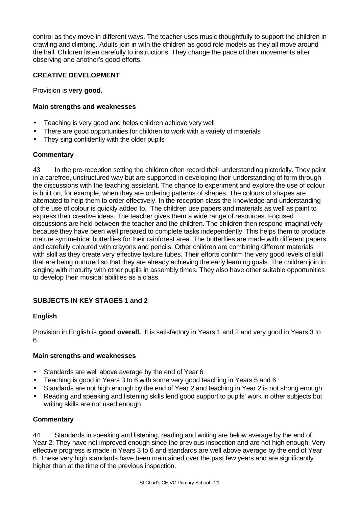control as they move in different ways. The teacher uses music thoughtfully to support the children in crawling and climbing. Adults join in with the children as good role models as they all move around the hall. Children listen carefully to instructions. They change the pace of their movements after observing one another's good efforts.

# **CREATIVE DEVELOPMENT**

Provision is **very good.**

# **Main strengths and weaknesses**

- Teaching is very good and helps children achieve very well
- There are good opportunities for children to work with a variety of materials
- They sing confidently with the older pupils

# **Commentary**

43 In the pre-reception setting the children often record their understanding pictorially. They paint in a carefree, unstructured way but are supported in developing their understanding of form through the discussions with the teaching assistant. The chance to experiment and explore the use of colour is built on, for example, when they are ordering patterns of shapes. The colours of shapes are alternated to help them to order effectively. In the reception class the knowledge and understanding of the use of colour is quickly added to. The children use papers and materials as well as paint to express their creative ideas. The teacher gives them a wide range of resources. Focused discussions are held between the teacher and the children. The children then respond imaginatively because they have been well prepared to complete tasks independently. This helps them to produce mature symmetrical butterflies for their rainforest area. The butterflies are made with different papers and carefully coloured with crayons and pencils. Other children are combining different materials with skill as they create very effective texture tubes. Their efforts confirm the very good levels of skill that are being nurtured so that they are already achieving the early learning goals. The children join in singing with maturity with other pupils in assembly times. They also have other suitable opportunities to develop their musical abilities as a class.

# **SUBJECTS IN KEY STAGES 1 and 2**

# **English**

Provision in English is **good overall.** It is satisfactory in Years 1 and 2 and very good in Years 3 to 6.

# **Main strengths and weaknesses**

- Standards are well above average by the end of Year 6
- Teaching is good in Years 3 to 6 with some very good teaching in Years 5 and 6
- Standards are not high enough by the end of Year 2 and teaching in Year 2 is not strong enough
- Reading and speaking and listening skills lend good support to pupils' work in other subjects but writing skills are not used enough

# **Commentary**

44 Standards in speaking and listening, reading and writing are below average by the end of Year 2. They have not improved enough since the previous inspection and are not high enough. Very effective progress is made in Years 3 to 6 and standards are well above average by the end of Year 6. These very high standards have been maintained over the past few years and are significantly higher than at the time of the previous inspection.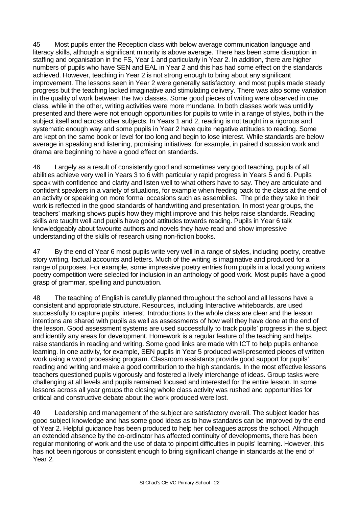45 Most pupils enter the Reception class with below average communication language and literacy skills, although a significant minority is above average. There has been some disruption in staffing and organisation in the FS, Year 1 and particularly in Year 2. In addition, there are higher numbers of pupils who have SEN and EAL in Year 2 and this has had some effect on the standards achieved. However, teaching in Year 2 is not strong enough to bring about any significant improvement. The lessons seen in Year 2 were generally satisfactory, and most pupils made steady progress but the teaching lacked imaginative and stimulating delivery. There was also some variation in the quality of work between the two classes. Some good pieces of writing were observed in one class, while in the other, writing activities were more mundane. In both classes work was untidily presented and there were not enough opportunities for pupils to write in a range of styles, both in the subject itself and across other subjects. In Years 1 and 2, reading is not taught in a rigorous and systematic enough way and some pupils in Year 2 have quite negative attitudes to reading. Some are kept on the same book or level for too long and begin to lose interest. While standards are below average in speaking and listening, promising initiatives, for example, in paired discussion work and drama are beginning to have a good effect on standards.

46 Largely as a result of consistently good and sometimes very good teaching, pupils of all abilities achieve very well in Years 3 to 6 with particularly rapid progress in Years 5 and 6. Pupils speak with confidence and clarity and listen well to what others have to say. They are articulate and confident speakers in a variety of situations, for example when feeding back to the class at the end of an activity or speaking on more formal occasions such as assemblies. The pride they take in their work is reflected in the good standards of handwriting and presentation. In most year groups, the teachers' marking shows pupils how they might improve and this helps raise standards. Reading skills are taught well and pupils have good attitudes towards reading. Pupils in Year 6 talk knowledgeably about favourite authors and novels they have read and show impressive understanding of the skills of research using non-fiction books.

47 By the end of Year 6 most pupils write very well in a range of styles, including poetry, creative story writing, factual accounts and letters. Much of the writing is imaginative and produced for a range of purposes. For example, some impressive poetry entries from pupils in a local young writers poetry competition were selected for inclusion in an anthology of good work. Most pupils have a good grasp of grammar, spelling and punctuation.

48 The teaching of English is carefully planned throughout the school and all lessons have a consistent and appropriate structure. Resources, including Interactive whiteboards, are used successfully to capture pupils' interest. Introductions to the whole class are clear and the lesson intentions are shared with pupils as well as assessments of how well they have done at the end of the lesson. Good assessment systems are used successfully to track pupils' progress in the subject and identify any areas for development. Homework is a regular feature of the teaching and helps raise standards in reading and writing. Some good links are made with ICT to help pupils enhance learning. In one activity, for example, SEN pupils in Year 5 produced well-presented pieces of written work using a word processing program. Classroom assistants provide good support for pupils' reading and writing and make a good contribution to the high standards. In the most effective lessons teachers questioned pupils vigorously and fostered a lively interchange of ideas. Group tasks were challenging at all levels and pupils remained focused and interested for the entire lesson. In some lessons across all year groups the closing whole class activity was rushed and opportunities for critical and constructive debate about the work produced were lost.

49 Leadership and management of the subject are satisfactory overall. The subject leader has good subject knowledge and has some good ideas as to how standards can be improved by the end of Year 2. Helpful guidance has been produced to help her colleagues across the school. Although an extended absence by the co-ordinator has affected continuity of developments, there has been regular monitoring of work and the use of data to pinpoint difficulties in pupils' learning. However, this has not been rigorous or consistent enough to bring significant change in standards at the end of Year 2.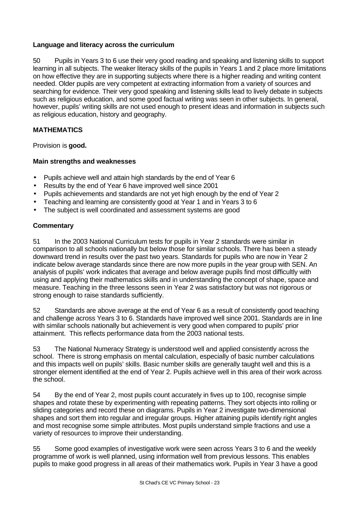# **Language and literacy across the curriculum**

50 Pupils in Years 3 to 6 use their very good reading and speaking and listening skills to support learning in all subjects. The weaker literacy skills of the pupils in Years 1 and 2 place more limitations on how effective they are in supporting subjects where there is a higher reading and writing content needed. Older pupils are very competent at extracting information from a variety of sources and searching for evidence. Their very good speaking and listening skills lead to lively debate in subjects such as religious education, and some good factual writing was seen in other subjects. In general, however, pupils' writing skills are not used enough to present ideas and information in subjects such as religious education, history and geography.

# **MATHEMATICS**

Provision is **good.**

# **Main strengths and weaknesses**

- Pupils achieve well and attain high standards by the end of Year 6
- Results by the end of Year 6 have improved well since 2001
- Pupils achievements and standards are not yet high enough by the end of Year 2
- Teaching and learning are consistently good at Year 1 and in Years 3 to 6
- The subject is well coordinated and assessment systems are good

# **Commentary**

51 In the 2003 National Curriculum tests for pupils in Year 2 standards were similar in comparison to all schools nationally but below those for similar schools. There has been a steady downward trend in results over the past two years. Standards for pupils who are now in Year 2 indicate below average standards since there are now more pupils in the year group with SEN. An analysis of pupils' work indicates that average and below average pupils find most difficultly with using and applying their mathematics skills and in understanding the concept of shape, space and measure. Teaching in the three lessons seen in Year 2 was satisfactory but was not rigorous or strong enough to raise standards sufficiently.

52 Standards are above average at the end of Year 6 as a result of consistently good teaching and challenge across Years 3 to 6. Standards have improved well since 2001. Standards are in line with similar schools nationally but achievement is very good when compared to pupils' prior attainment. This reflects performance data from the 2003 national tests.

53 The National Numeracy Strategy is understood well and applied consistently across the school. There is strong emphasis on mental calculation, especially of basic number calculations and this impacts well on pupils' skills. Basic number skills are generally taught well and this is a stronger element identified at the end of Year 2. Pupils achieve well in this area of their work across the school.

54 By the end of Year 2, most pupils count accurately in fives up to 100, recognise simple shapes and rotate these by experimenting with repeating patterns. They sort objects into rolling or sliding categories and record these on diagrams. Pupils in Year 2 investigate two-dimensional shapes and sort them into regular and irregular groups. Higher attaining pupils identify right angles and most recognise some simple attributes. Most pupils understand simple fractions and use a variety of resources to improve their understanding.

55 Some good examples of investigative work were seen across Years 3 to 6 and the weekly programme of work is well planned, using information well from previous lessons. This enables pupils to make good progress in all areas of their mathematics work. Pupils in Year 3 have a good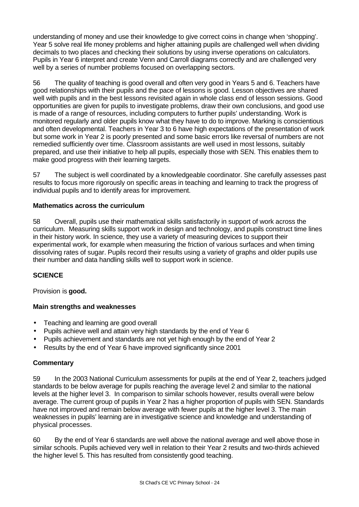understanding of money and use their knowledge to give correct coins in change when 'shopping'. Year 5 solve real life money problems and higher attaining pupils are challenged well when dividing decimals to two places and checking their solutions by using inverse operations on calculators. Pupils in Year 6 interpret and create Venn and Carroll diagrams correctly and are challenged very well by a series of number problems focused on overlapping sectors.

56 The quality of teaching is good overall and often very good in Years 5 and 6. Teachers have good relationships with their pupils and the pace of lessons is good. Lesson objectives are shared well with pupils and in the best lessons revisited again in whole class end of lesson sessions. Good opportunities are given for pupils to investigate problems, draw their own conclusions, and good use is made of a range of resources, including computers to further pupils' understanding. Work is monitored regularly and older pupils know what they have to do to improve. Marking is conscientious and often developmental. Teachers in Year 3 to 6 have high expectations of the presentation of work but some work in Year 2 is poorly presented and some basic errors like reversal of numbers are not remedied sufficiently over time. Classroom assistants are well used in most lessons, suitably prepared, and use their initiative to help all pupils, especially those with SEN. This enables them to make good progress with their learning targets.

57 The subject is well coordinated by a knowledgeable coordinator. She carefully assesses past results to focus more rigorously on specific areas in teaching and learning to track the progress of individual pupils and to identify areas for improvement.

# **Mathematics across the curriculum**

58 Overall, pupils use their mathematical skills satisfactorily in support of work across the curriculum. Measuring skills support work in design and technology, and pupils construct time lines in their history work. In science, they use a variety of measuring devices to support their experimental work, for example when measuring the friction of various surfaces and when timing dissolving rates of sugar. Pupils record their results using a variety of graphs and older pupils use their number and data handling skills well to support work in science.

# **SCIENCE**

Provision is **good.**

# **Main strengths and weaknesses**

- Teaching and learning are good overall
- Pupils achieve well and attain very high standards by the end of Year 6
- Pupils achievement and standards are not yet high enough by the end of Year 2
- Results by the end of Year 6 have improved significantly since 2001

# **Commentary**

59 In the 2003 National Curriculum assessments for pupils at the end of Year 2, teachers judged standards to be below average for pupils reaching the average level 2 and similar to the national levels at the higher level 3. In comparison to similar schools however, results overall were below average. The current group of pupils in Year 2 has a higher proportion of pupils with SEN. Standards have not improved and remain below average with fewer pupils at the higher level 3. The main weaknesses in pupils' learning are in investigative science and knowledge and understanding of physical processes.

60 By the end of Year 6 standards are well above the national average and well above those in similar schools. Pupils achieved very well in relation to their Year 2 results and two-thirds achieved the higher level 5. This has resulted from consistently good teaching.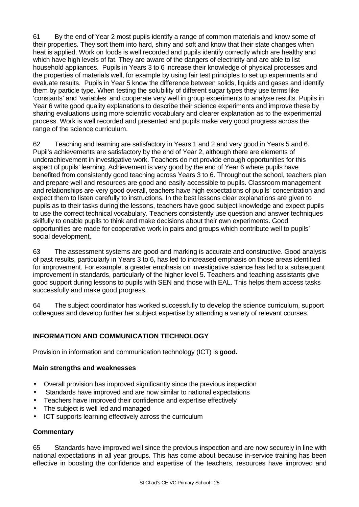61 By the end of Year 2 most pupils identify a range of common materials and know some of their properties. They sort them into hard, shiny and soft and know that their state changes when heat is applied. Work on foods is well recorded and pupils identify correctly which are healthy and which have high levels of fat. They are aware of the dangers of electricity and are able to list household appliances. Pupils in Years 3 to 6 increase their knowledge of physical processes and the properties of materials well, for example by using fair test principles to set up experiments and evaluate results. Pupils in Year 5 know the difference between solids, liquids and gases and identify them by particle type. When testing the solubility of different sugar types they use terms like 'constants' and 'variables' and cooperate very well in group experiments to analyse results. Pupils in Year 6 write good quality explanations to describe their science experiments and improve these by sharing evaluations using more scientific vocabulary and clearer explanation as to the experimental process. Work is well recorded and presented and pupils make very good progress across the range of the science curriculum.

62 Teaching and learning are satisfactory in Years 1 and 2 and very good in Years 5 and 6. Pupil's achievements are satisfactory by the end of Year 2, although there are elements of underachievement in investigative work. Teachers do not provide enough opportunities for this aspect of pupils' learning. Achievement is very good by the end of Year 6 where pupils have benefited from consistently good teaching across Years 3 to 6. Throughout the school, teachers plan and prepare well and resources are good and easily accessible to pupils. Classroom management and relationships are very good overall, teachers have high expectations of pupils' concentration and expect them to listen carefully to instructions. In the best lessons clear explanations are given to pupils as to their tasks during the lessons, teachers have good subject knowledge and expect pupils to use the correct technical vocabulary. Teachers consistently use question and answer techniques skilfully to enable pupils to think and make decisions about their own experiments. Good opportunities are made for cooperative work in pairs and groups which contribute well to pupils' social development.

63 The assessment systems are good and marking is accurate and constructive. Good analysis of past results, particularly in Years 3 to 6, has led to increased emphasis on those areas identified for improvement. For example, a greater emphasis on investigative science has led to a subsequent improvement in standards, particularly of the higher level 5. Teachers and teaching assistants give good support during lessons to pupils with SEN and those with EAL. This helps them access tasks successfully and make good progress.

64 The subject coordinator has worked successfully to develop the science curriculum, support colleagues and develop further her subject expertise by attending a variety of relevant courses.

# **INFORMATION AND COMMUNICATION TECHNOLOGY**

Provision in information and communication technology (ICT) is **good.**

# **Main strengths and weaknesses**

- Overall provision has improved significantly since the previous inspection
- Standards have improved and are now similar to national expectations
- Teachers have improved their confidence and expertise effectively
- The subject is well led and managed
- ICT supports learning effectively across the curriculum

# **Commentary**

65 Standards have improved well since the previous inspection and are now securely in line with national expectations in all year groups. This has come about because in-service training has been effective in boosting the confidence and expertise of the teachers, resources have improved and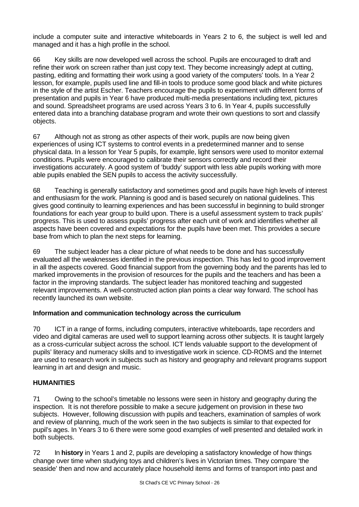include a computer suite and interactive whiteboards in Years 2 to 6, the subject is well led and managed and it has a high profile in the school.

66 Key skills are now developed well across the school. Pupils are encouraged to draft and refine their work on screen rather than just copy text. They become increasingly adept at cutting, pasting, editing and formatting their work using a good variety of the computers' tools. In a Year 2 lesson, for example, pupils used line and fill-in tools to produce some good black and white pictures in the style of the artist Escher. Teachers encourage the pupils to experiment with different forms of presentation and pupils in Year 6 have produced multi-media presentations including text, pictures and sound. Spreadsheet programs are used across Years 3 to 6. In Year 4, pupils successfully entered data into a branching database program and wrote their own questions to sort and classify objects.

67 Although not as strong as other aspects of their work, pupils are now being given experiences of using ICT systems to control events in a predetermined manner and to sense physical data. In a lesson for Year 5 pupils, for example, light sensors were used to monitor external conditions. Pupils were encouraged to calibrate their sensors correctly and record their investigations accurately. A good system of 'buddy' support with less able pupils working with more able pupils enabled the SEN pupils to access the activity successfully.

68 Teaching is generally satisfactory and sometimes good and pupils have high levels of interest and enthusiasm for the work. Planning is good and is based securely on national guidelines. This gives good continuity to learning experiences and has been successful in beginning to build stronger foundations for each year group to build upon. There is a useful assessment system to track pupils' progress. This is used to assess pupils' progress after each unit of work and identifies whether all aspects have been covered and expectations for the pupils have been met. This provides a secure base from which to plan the next steps for learning.

69 The subject leader has a clear picture of what needs to be done and has successfully evaluated all the weaknesses identified in the previous inspection. This has led to good improvement in all the aspects covered. Good financial support from the governing body and the parents has led to marked improvements in the provision of resources for the pupils and the teachers and has been a factor in the improving standards. The subject leader has monitored teaching and suggested relevant improvements. A well-constructed action plan points a clear way forward. The school has recently launched its own website.

# **Information and communication technology across the curriculum**

70 ICT in a range of forms, including computers, interactive whiteboards, tape recorders and video and digital cameras are used well to support learning across other subjects. It is taught largely as a cross-curricular subject across the school. ICT lends valuable support to the development of pupils' literacy and numeracy skills and to investigative work in science. CD-ROMS and the Internet are used to research work in subjects such as history and geography and relevant programs support learning in art and design and music.

# **HUMANITIES**

71 Owing to the school's timetable no lessons were seen in history and geography during the inspection. It is not therefore possible to make a secure judgement on provision in these two subjects. However, following discussion with pupils and teachers, examination of samples of work and review of planning, much of the work seen in the two subjects is similar to that expected for pupil's ages. In Years 3 to 6 there were some good examples of well presented and detailed work in both subjects.

72 In **history** in Years 1 and 2, pupils are developing a satisfactory knowledge of how things change over time when studying toys and children's lives in Victorian times. They compare 'the seaside' then and now and accurately place household items and forms of transport into past and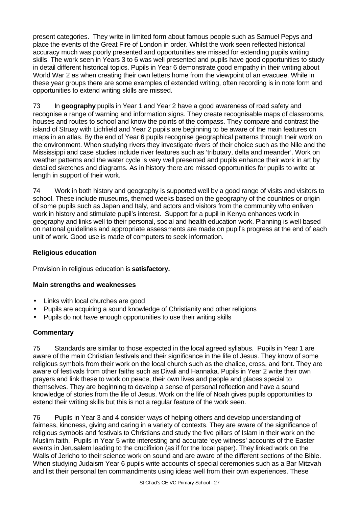present categories. They write in limited form about famous people such as Samuel Pepys and place the events of the Great Fire of London in order. Whilst the work seen reflected historical accuracy much was poorly presented and opportunities are missed for extending pupils writing skills. The work seen in Years 3 to 6 was well presented and pupils have good opportunities to study in detail different historical topics. Pupils in Year 6 demonstrate good empathy in their writing about World War 2 as when creating their own letters home from the viewpoint of an evacuee. While in these year groups there are some examples of extended writing, often recording is in note form and opportunities to extend writing skills are missed.

73 In **geography** pupils in Year 1 and Year 2 have a good awareness of road safety and recognise a range of warning and information signs. They create recognisable maps of classrooms, houses and routes to school and know the points of the compass. They compare and contrast the island of Struay with Lichfield and Year 2 pupils are beginning to be aware of the main features on maps in an atlas. By the end of Year 6 pupils recognise geographical patterns through their work on the environment. When studying rivers they investigate rivers of their choice such as the Nile and the Mississippi and case studies include river features such as 'tributary, delta and meander'. Work on weather patterns and the water cycle is very well presented and pupils enhance their work in art by detailed sketches and diagrams. As in history there are missed opportunities for pupils to write at length in support of their work.

74 Work in both history and geography is supported well by a good range of visits and visitors to school. These include museums, themed weeks based on the geography of the countries or origin of some pupils such as Japan and Italy, and actors and visitors from the community who enliven work in history and stimulate pupil's interest. Support for a pupil in Kenya enhances work in geography and links well to their personal, social and health education work. Planning is well based on national guidelines and appropriate assessments are made on pupil's progress at the end of each unit of work. Good use is made of computers to seek information.

# **Religious education**

Provision in religious education is **satisfactory.**

# **Main strengths and weaknesses**

- Links with local churches are good
- Pupils are acquiring a sound knowledge of Christianity and other religions
- Pupils do not have enough opportunities to use their writing skills

# **Commentary**

75 Standards are similar to those expected in the local agreed syllabus. Pupils in Year 1 are aware of the main Christian festivals and their significance in the life of Jesus. They know of some religious symbols from their work on the local church such as the chalice, cross, and font. They are aware of festivals from other faiths such as Divali and Hannaka. Pupils in Year 2 write their own prayers and link these to work on peace, their own lives and people and places special to themselves. They are beginning to develop a sense of personal reflection and have a sound knowledge of stories from the life of Jesus. Work on the life of Noah gives pupils opportunities to extend their writing skills but this is not a regular feature of the work seen.

76 Pupils in Year 3 and 4 consider ways of helping others and develop understanding of fairness, kindness, giving and caring in a variety of contexts. They are aware of the significance of religious symbols and festivals to Christians and study the five pillars of Islam in their work on the Muslim faith. Pupils in Year 5 write interesting and accurate 'eye witness' accounts of the Easter events in Jerusalem leading to the crucifixion (as if for the local paper). They linked work on the Walls of Jericho to their science work on sound and are aware of the different sections of the Bible. When studying Judaism Year 6 pupils write accounts of special ceremonies such as a Bar Mitzvah and list their personal ten commandments using ideas well from their own experiences. These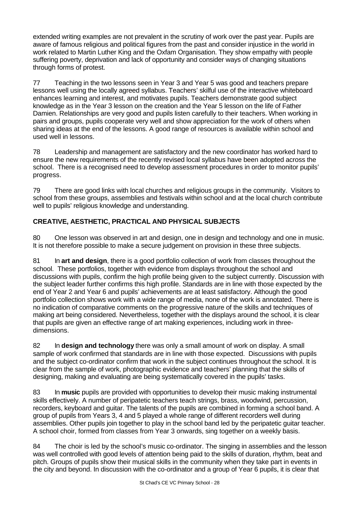extended writing examples are not prevalent in the scrutiny of work over the past year. Pupils are aware of famous religious and political figures from the past and consider injustice in the world in work related to Martin Luther King and the Oxfam Organisation. They show empathy with people suffering poverty, deprivation and lack of opportunity and consider ways of changing situations through forms of protest.

77 Teaching in the two lessons seen in Year 3 and Year 5 was good and teachers prepare lessons well using the locally agreed syllabus. Teachers' skilful use of the interactive whiteboard enhances learning and interest, and motivates pupils. Teachers demonstrate good subject knowledge as in the Year 3 lesson on the creation and the Year 5 lesson on the life of Father Damien. Relationships are very good and pupils listen carefully to their teachers. When working in pairs and groups, pupils cooperate very well and show appreciation for the work of others when sharing ideas at the end of the lessons. A good range of resources is available within school and used well in lessons.

78 Leadership and management are satisfactory and the new coordinator has worked hard to ensure the new requirements of the recently revised local syllabus have been adopted across the school. There is a recognised need to develop assessment procedures in order to monitor pupils' progress.

79 There are good links with local churches and religious groups in the community. Visitors to school from these groups, assemblies and festivals within school and at the local church contribute well to pupils' religious knowledge and understanding.

# **CREATIVE, AESTHETIC, PRACTICAL AND PHYSICAL SUBJECTS**

80 One lesson was observed in art and design, one in design and technology and one in music. It is not therefore possible to make a secure judgement on provision in these three subjects.

81 In **art and design**, there is a good portfolio collection of work from classes throughout the school. These portfolios, together with evidence from displays throughout the school and discussions with pupils, confirm the high profile being given to the subject currently. Discussion with the subject leader further confirms this high profile. Standards are in line with those expected by the end of Year 2 and Year 6 and pupils' achievements are at least satisfactory. Although the good portfolio collection shows work with a wide range of media, none of the work is annotated. There is no indication of comparative comments on the progressive nature of the skills and techniques of making art being considered. Nevertheless, together with the displays around the school, it is clear that pupils are given an effective range of art making experiences, including work in threedimensions.

82 In **design and technology** there was only a small amount of work on display. A small sample of work confirmed that standards are in line with those expected. Discussions with pupils and the subject co-ordinator confirm that work in the subject continues throughout the school. It is clear from the sample of work, photographic evidence and teachers' planning that the skills of designing, making and evaluating are being systematically covered in the pupils' tasks.

83 In **music** pupils are provided with opportunities to develop their music making instrumental skills effectively. A number of peripatetic teachers teach strings, brass, woodwind, percussion, recorders, keyboard and guitar. The talents of the pupils are combined in forming a school band. A group of pupils from Years 3, 4 and 5 played a whole range of different recorders well during assemblies. Other pupils join together to play in the school band led by the peripatetic guitar teacher. A school choir, formed from classes from Year 3 onwards, sing together on a weekly basis.

84 The choir is led by the school's music co-ordinator. The singing in assemblies and the lesson was well controlled with good levels of attention being paid to the skills of duration, rhythm, beat and pitch. Groups of pupils show their musical skills in the community when they take part in events in the city and beyond. In discussion with the co-ordinator and a group of Year 6 pupils, it is clear that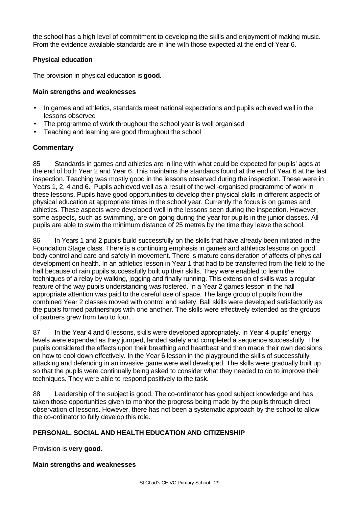the school has a high level of commitment to developing the skills and enjoyment of making music. From the evidence available standards are in line with those expected at the end of Year 6.

# **Physical education**

The provision in physical education is **good.**

# **Main strengths and weaknesses**

- In games and athletics, standards meet national expectations and pupils achieved well in the lessons observed
- The programme of work throughout the school year is well organised
- Teaching and learning are good throughout the school

# **Commentary**

85 Standards in games and athletics are in line with what could be expected for pupils' ages at the end of both Year 2 and Year 6. This maintains the standards found at the end of Year 6 at the last inspection. Teaching was mostly good in the lessons observed during the inspection. These were in Years 1, 2, 4 and 6. Pupils achieved well as a result of the well-organised programme of work in these lessons. Pupils have good opportunities to develop their physical skills in different aspects of physical education at appropriate times in the school year. Currently the focus is on games and athletics. These aspects were developed well in the lessons seen during the inspection. However, some aspects, such as swimming, are on-going during the year for pupils in the junior classes. All pupils are able to swim the minimum distance of 25 metres by the time they leave the school.

86 In Years 1 and 2 pupils build successfully on the skills that have already been initiated in the Foundation Stage class. There is a continuing emphasis in games and athletics lessons on good body control and care and safety in movement. There is mature consideration of affects of physical development on health. In an athletics lesson in Year 1 that had to be transferred from the field to the hall because of rain pupils successfully built up their skills. They were enabled to learn the techniques of a relay by walking, jogging and finally running. This extension of skills was a regular feature of the way pupils understanding was fostered. In a Year 2 games lesson in the hall appropriate attention was paid to the careful use of space. The large group of pupils from the combined Year 2 classes moved with control and safety. Ball skills were developed satisfactorily as the pupils formed partnerships with one another. The skills were effectively extended as the groups of partners grew from two to four.

87 In the Year 4 and 6 lessons, skills were developed appropriately. In Year 4 pupils' energy levels were expended as they jumped, landed safely and completed a sequence successfully. The pupils considered the effects upon their breathing and heartbeat and then made their own decisions on how to cool down effectively. In the Year 6 lesson in the playground the skills of successfully attacking and defending in an invasive game were well developed. The skills were gradually built up so that the pupils were continually being asked to consider what they needed to do to improve their techniques. They were able to respond positively to the task.

88 Leadership of the subject is good. The co-ordinator has good subject knowledge and has taken those opportunities given to monitor the progress being made by the pupils through direct observation of lessons. However, there has not been a systematic approach by the school to allow the co-ordinator to fully develop this role.

# **PERSONAL, SOCIAL AND HEALTH EDUCATION AND CITIZENSHIP**

Provision is **very good.**

# **Main strengths and weaknesses**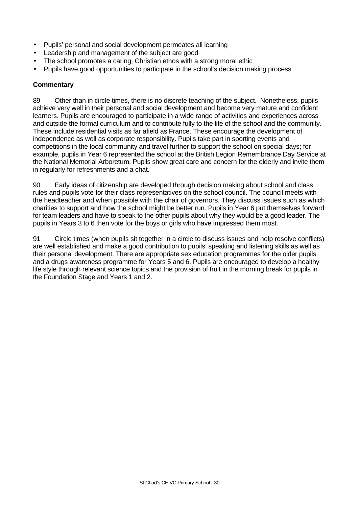- Pupils' personal and social development permeates all learning
- Leadership and management of the subject are good
- The school promotes a caring, Christian ethos with a strong moral ethic
- Pupils have good opportunities to participate in the school's decision making process

# **Commentary**

89 Other than in circle times, there is no discrete teaching of the subject. Nonetheless, pupils achieve very well in their personal and social development and become very mature and confident learners. Pupils are encouraged to participate in a wide range of activities and experiences across and outside the formal curriculum and to contribute fully to the life of the school and the community. These include residential visits as far afield as France. These encourage the development of independence as well as corporate responsibility. Pupils take part in sporting events and competitions in the local community and travel further to support the school on special days; for example, pupils in Year 6 represented the school at the British Legion Remembrance Day Service at the National Memorial Arboretum. Pupils show great care and concern for the elderly and invite them in regularly for refreshments and a chat.

90 Early ideas of citizenship are developed through decision making about school and class rules and pupils vote for their class representatives on the school council. The council meets with the headteacher and when possible with the chair of governors. They discuss issues such as which charities to support and how the school might be better run. Pupils in Year 6 put themselves forward for team leaders and have to speak to the other pupils about why they would be a good leader. The pupils in Years 3 to 6 then vote for the boys or girls who have impressed them most.

91 Circle times (when pupils sit together in a circle to discuss issues and help resolve conflicts) are well established and make a good contribution to pupils' speaking and listening skills as well as their personal development. There are appropriate sex education programmes for the older pupils and a drugs awareness programme for Years 5 and 6. Pupils are encouraged to develop a healthy life style through relevant science topics and the provision of fruit in the morning break for pupils in the Foundation Stage and Years 1 and 2.